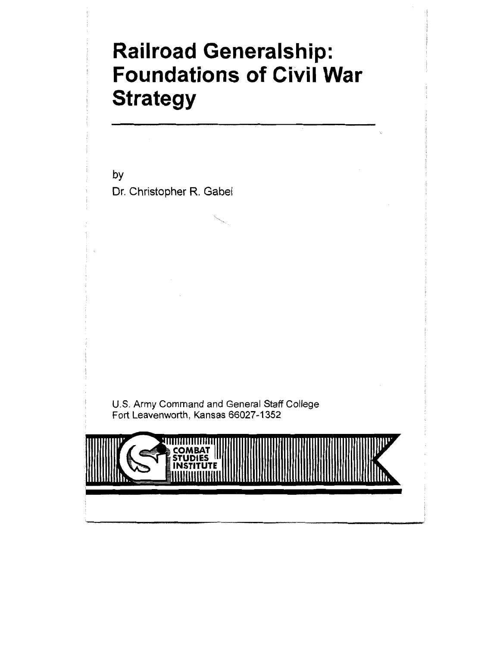# Railroad Generalship: Foundations of Civil War **Strategy**

bY Dr. Christopher R. Gabel

U.S. Army Command and General Staff College Fort Leavenworth, Kansas 66027-I 352

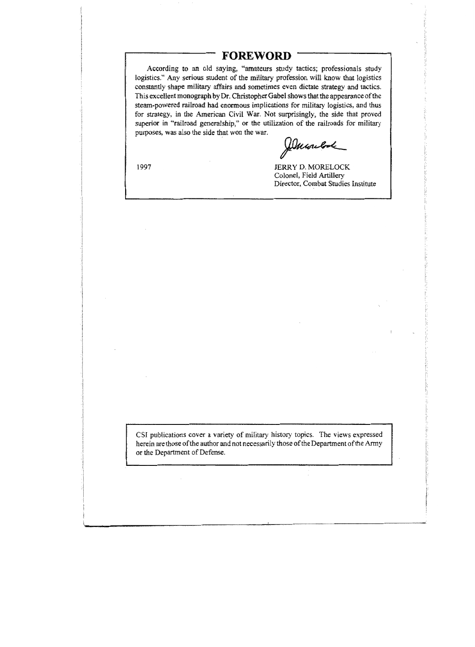### **FOREWORD**

According to an old saying, "amateurs study tactics; professionals study logistics." Any serious student of the military profession will know that logistics constantly shape military affairs and sometimes even dictate strategy and tactics. This excellent monograph by Dr. Christopher Gabel shows that the appearance of the steam-powered railroad had enormous implications for military logistics, and thus for strategy, in the American Civil War. Not surprisingly, the side that proved superior in "railroad generalship," or the utilization of the railroads for military purposes, was also the side that won the war.

*Duwelook* 

1997

JERRY D. MORELOCK Colonel, Field Artillery Director, Combat Studies Institute

CSI publications cover a variety of military history topics. The views expressed herein are those of the author and not necessarily those of the Department of the Army or the Department of Defense.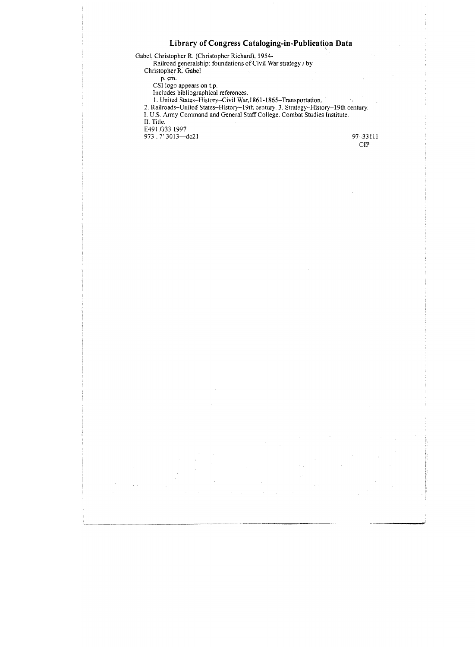#### Library of Congress Cataloging-in-Publieation Data



 $\sim$   $^{-1}$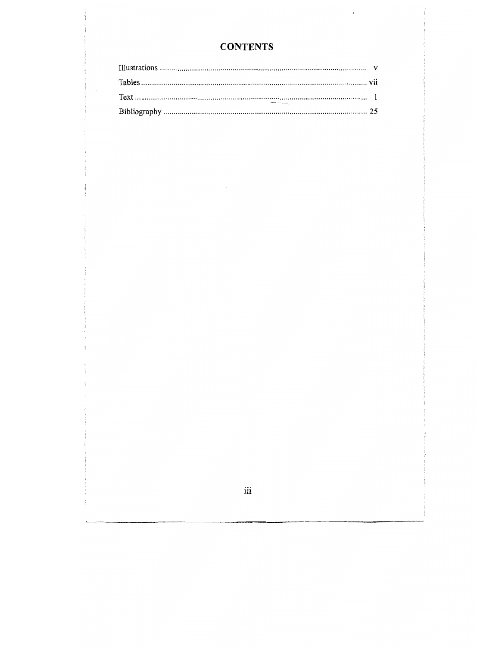### **CONTENTS**

 $\epsilon$ 

 $\,$ iii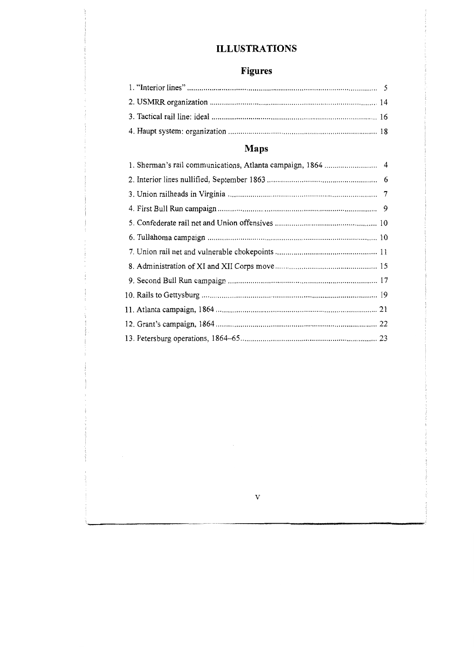## **ILLUSTRATIONS**

## Figures

## Maps

 $\overline{\mathbf{v}}$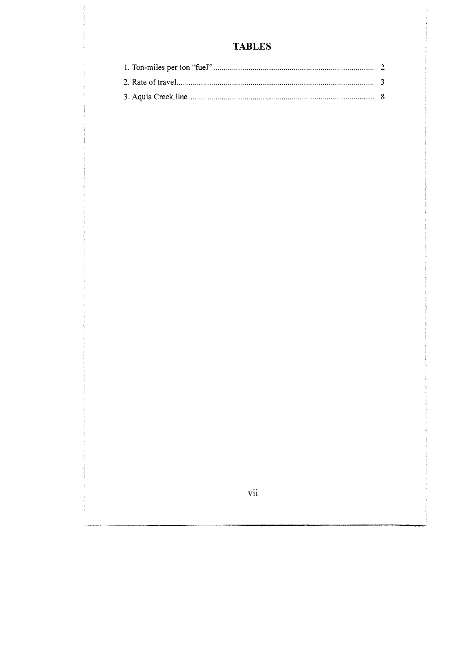## **TABLES**

vii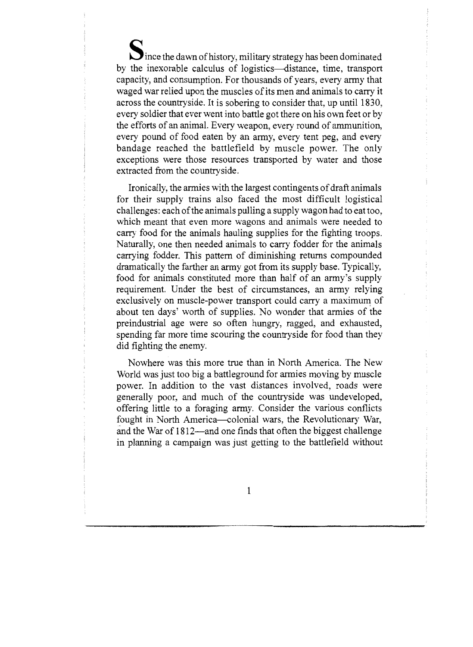Ince the dawn of history, military strategy has been dominated by the inexorable calculus of Iogistics-distance, time, transport capacity, and consumption. For thousands of years, every army that waged war relied upon the muscles of its men and animals to carry it across the countryside. It is sobering to consider that, up until 1830, every soldier that ever went into battle got there on his own feet or by the efforts of an animal. Every weapon, every round of ammunition, every pound of food eaten by an army, every tent peg, and every bandage reached the battlefield by muscle power. The only exceptions were those resources transported by water and those extracted from the countryside.

Ironically, the armies with the largest contingents of draft animals for their supply trains also faced the most difficult logistical challenges: each of the animals pulling a supply wagon had to eat too. which meant that even more wagons and animals were needed to carry food for the animals hauling supplies for the fighting troops. Naturally, one then needed animals to carry fodder for the animals carrying fodder. This pattern of diminishing returns compounded dramatically the farther an army got from its supply base. Typically, food for animals constituted more than half of an army's supply requirement. Under the best of circumstances, an army relying exclusively on muscle-power transport could carry a maximum of about ten days' worth of supplies. No wonder that armies of the preindustrial age were so often hungry, ragged, and exhausted, spending far more time scouring the countryside for food than they did fighting the enemy.

Nowhere was this more true than in North America. The New World was just too big a battleground for armies moving by muscle power. In addition to the vast distances involved, roads were generally poor, and much of the countryside was undeveloped, offering little to a foraging army. Consider the various conflicts fought in North America-colonial wars, the Revolutionary War, and the War of 1812—and one finds that often the biggest challenge in planning a campaign was just getting to the battlefield without

1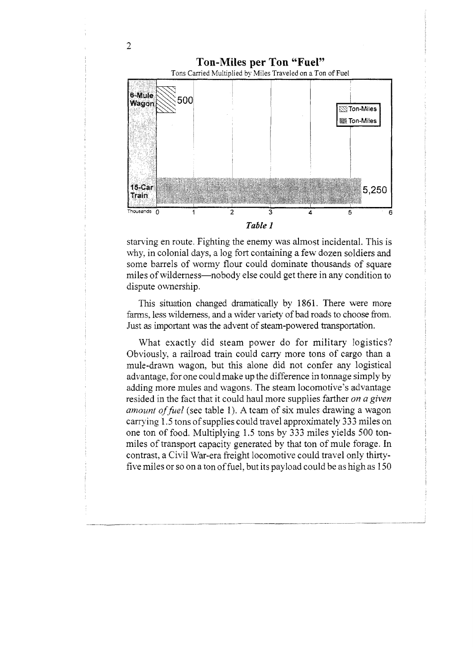

starving en route. Fighting the enemy was almost incidental. This is why, in colonial days, a log fort containing a few dozen soldiers and some barrels of wormy flour could dominate thousands of square miles of wilderness—nobody else could get there in any condition to dispute ownership.

This situation changed dramatically by 1861. There were more farms, less wilderness, and a wider variety of bad roads to choose from. Just as important was the advent of steam-powered transportation,

What exactly did steam power do for military logistics? Obviously, a railroad train could carry more tons of cargo than a mule-drawn wagon, but this alone did not confer any logistical advantage, for one could make up the difference in tonnage simply by adding more mules and wagons. The steam locomotive's advantage resided in the fact that it could haul more supplies farther on a given amount of fuel (see table 1). A team of six mules drawing a wagon carrying 1.5 tons of supplies could travel approximately 333 miles on one ton of food. Multiplying 1.5 tons by 333 miles yields 500 tonmiles of transport capacity generated by that ton of mule forage. In contrast, a Civil War-era freight locomotive could travel only thirtyfive miles or so on a ton of fuel, but its payload could be as high as 150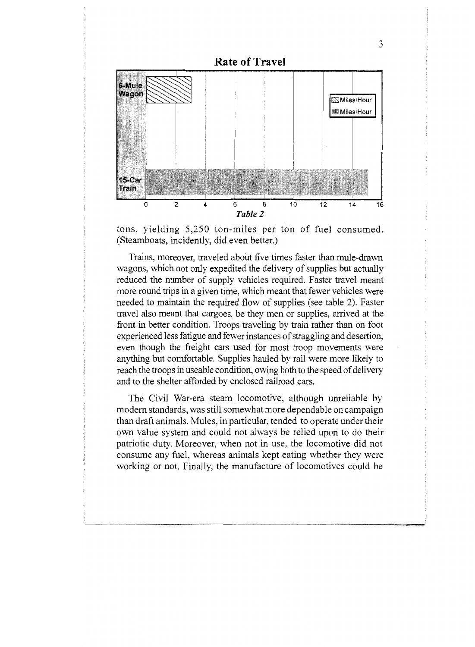

tons, yielding 5,250 ton-miles per ton of fuel consumed. (Steamboats, incidently, did even better.)

Trains, moreover, traveled about five times faster than mule-drawn wagons, which not only expedited the delivery of supplies but actually reduced the number of supply vehicles required. Faster travel meant more round trips in a given time, which meant that fewer vehicles were needed to maintain the required flow of supplies (see table 2). Faster travel also meant that cargoes, be they men or supplies, arrived at the front in better condition. Troops traveling by train rather than on foot experienced less fatigue and fewer instances of straggling and desertion, even though the freight cars used for most troop movements were anything but comfortable. Supplies hauled by rail were more likely to reach the troops in useable condition, owing both to the speed of delivery and to the shelter afforded by enclosed railroad cars.

The Civil War-era steam locomotive, although unreliable by modern standards, was still somewhat more dependable on campaign than draft animals. Nules, in particuhar, tended to operate under their own value system and could not always be relied upon to do their patriotic duty. Moreover, when not in use, the locomotive did not consume any fuel, whereas animals kept eating whether they were working or not. Finally, the manufacture of locomotives could be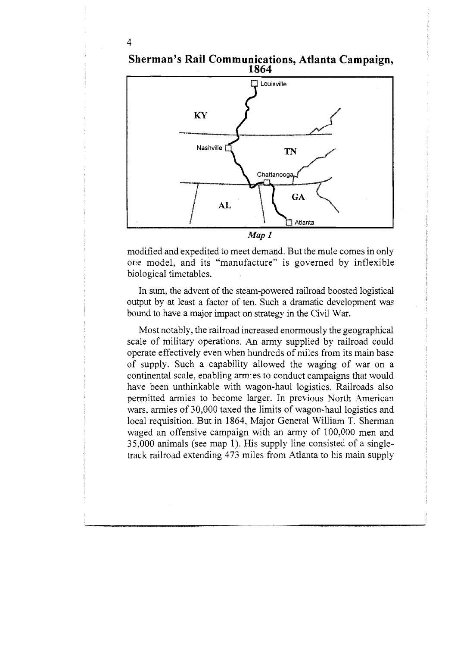# Sherman's Rail Communications, Atlanta Campaign,<br>1864 **TT** Louisville KY Nashville i TN

Chattanooga

GA

 $\Box$  Atlanta

4

 $Map$   $1$ modified and expedited to meet demand. But the mule comes in only one model, and its "manufacture" is governed by inflexible biological timetables.

 $AL$ 

In sum, the advent of the steam-powered railroad boosted logistical output by at least a factor of ten. Such a dramatic development was bound to have a major impact on strategy in the Civil War.

Most notably, the railroad increased enormously the geographical scale of military operations. An army supplied by railroad could operate effectively even when hundreds of miles from its main base of supply. Such a capability allowed the waging of war on a continental scale, enabling armies to conduct campaigns that would have been unthinkable with wagon-haul logistics. Railroads also permitted armies to become larger. In previous North American wars, armies of 30,000 taxed the limits of wagon-haul logistics and local requisition. But in 1864, Major General William T. Sherman waged an offensive campaign with an army of 100,000 men and 35,000 animals (see map 1). His supply line consisted of a singletrack railroad extending 473 miles from Atlanta to his main supply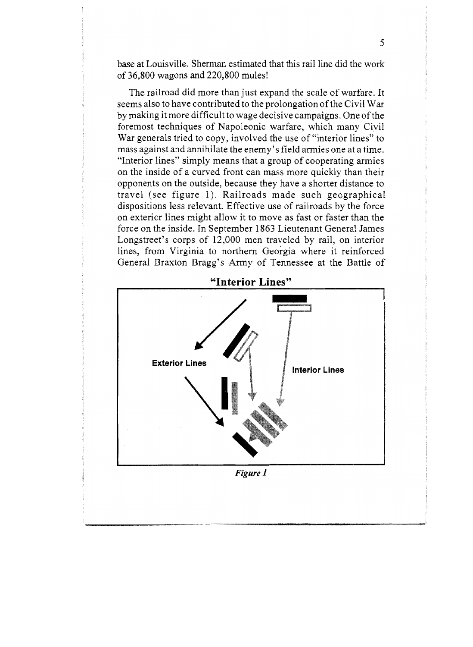base at Louisville. Sherman estimated that this rail line did the work of 36,800 wagons and 220,800 mules!

5

The railroad did more than just expand the scale of warfare. It seems also to have contributed to the prolongation of the Civil War by making it more difficult to wage decisive campaigns. One ofthe foremost techniques of Napoleonic warfare, which many Civil War generals tried to copy, involved the use of "interior lines" to mass against and annihilate the enemy's field armies one at a time. '"Interior lines" simply means that a group of cooperating armies on the inside of a curved front can mass more quickly than their opponents on the outside, because they have a shorter distance to travel (see figure 1). Railroads made such geographical dispositions less relevant. Effective use of railroads by the force on exterior lines might allow it to move as fast or faster than the force on the inside. In September 1863 Lieutenant General James Longstreet's corps of 12,000 men traveled by rail, on interior lines, from Virginia to northern Georgia where it reinforced General Braxton Bragg's Army of Tennessee at the Battle of

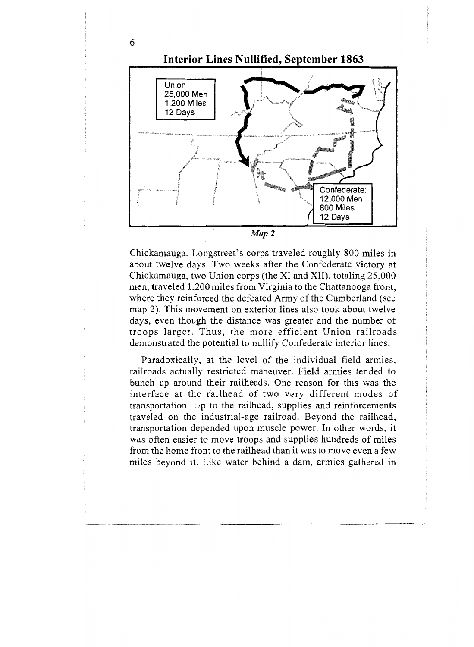

Chickamauga. Longstreet's corps traveled roughly 800 miles in about twelve days. Two weeks after the Confederate victory at Chickamauga, two Union corps (the XI and XII), totaling 25,080 men, traveled 1,200 miles from Virginia to the Chattanooga front, where they reinforced the defeated Army of the Cumberland (see map 2). This movement on exterior lines also took about twelve days, even though the distance was greater and the number of troops larger. Thus, the more efficient Union railroads demonstrated the potential to nullify Confederate interior lines.

Paradoxically, at the level of the individual field armies, railroads actually restricted maneuver. Field armies tended to bunch up around their railheads. One reason for this was the interface at the railhead of two very different modes of transportation. Up to the railhead, supplies and reinforcements traveled on the industrial-age railroad. Beyond the railhead, transportation depended upon muscle power. In other words, it was often easier to move troops and supplies hundreds of miles from the home front to the railhead than it was to move even a few miles beyond it. Like water behind a dam, armies gathered in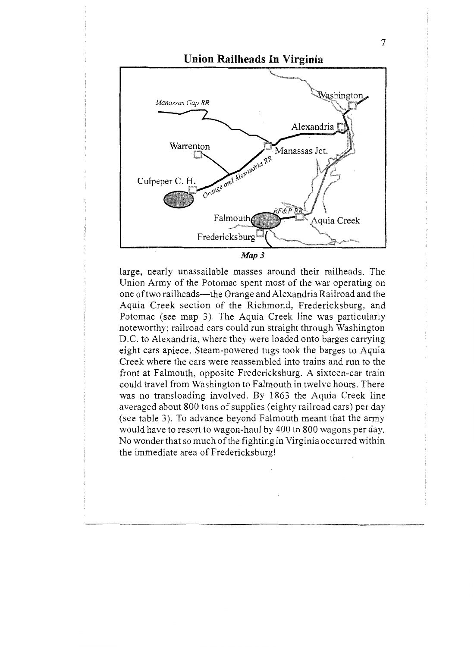

large, nearly unassailable masses around their railheads. The Union Army of the Potomac spent most of the war operating on one of two railheads—the Orange and Alexandria Railroad and the Aquia Creek section of the Richmond, Fredericksburg, and Potomac (see map 3). The Aquia Creek line was particularly noteworthy; railroad ears could run straight throu D.C. to Alexandria, where they were loaded onto barges carrying eight cars apiece. Steam-powered tugs took the barges to Aquia Creek where the cars were reassembled into trains and run to the front at Falmouth, opposite Fredericksburg. A sixteen-car train could travel from Washington to Falmouth in twelve hours. There was no transloading involved. By 1863 the Aquia Creek line averaged about 800 tons of supplies (eighty railroad cars) per day (see table 3). To advance beyond Falmouth meant that the army would have to resort to wagon-haul by 400 to 800 wagons per day. No wonder that so much of the fighting in Virginia occurred within the immediate area of Fredericksburg!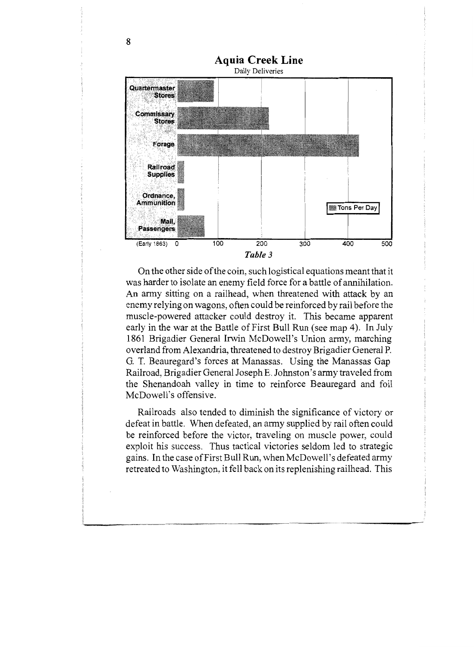

On the other side ofthe coin, such logistical equations meant that it was harder to isolate an enemy field force for a battle of annihilation. An army sitting on a railhead, when threatened with attack by an enemy relying on wagons, often could be reinforced by rail before the muscle-powered attacker could destroy it. This became apparent early in the war at the Battle of First Bull Run (see map 4). In July 1861 Brigadier General Irwin McDowell's Union army, marching overland from Alexandria, threatened to destroy Brigadier General P. G. T. Beauregard's forces at Manassas. Using the Manassas Gap Railroad, Brigadier Genera1 Joseph E. Johnston's army traveled from the Shenandoah valley in time to reinforce Beauregard and foil McDowell's offensive.

RaiIroads also tended to diminish the significance of victory or defeat in battle. When defeated, an army supplied by rail often could be reinforced before the victor, traveling on muscle power, could exploit his success. Thus tactical victories seldom led to strategic gains. In the case of First Bull Run, when McDowell's defeated army retreated to Washington, it fell back on its replenishing railhead. This

\_\_\_\_\_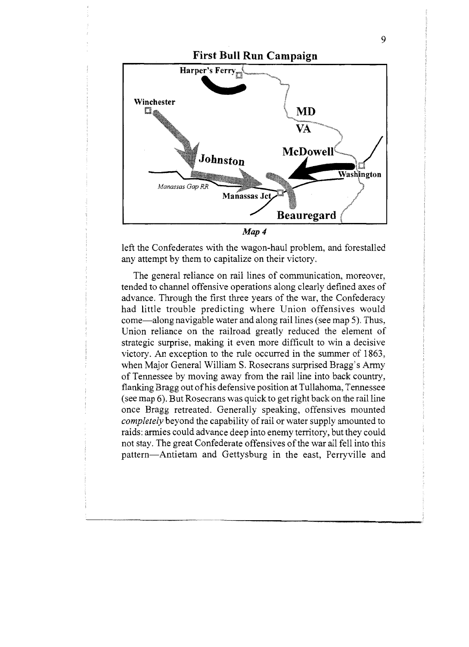

left the Confederates with the wagon-haul problem, and forestalled any attempt by them to capitalize on their victory.

The general reliance on rail lines of communication, moreover, tended to channel offensive operations along clearly defined axes of advance. Through the first three years of the war, the Confederacy had little trouble predicting where Union offensives would come—along navigable water and along rail lines (see map 5). Thus, Union reliance on the railroad greatly reduced the element of strategic surprise, making it even more difficult to win a decisive victory. An exception to the rule occurred in the summer of 1863, when Major General William S. Rosecrans surprised Bragg's Army of Tennessee by moving away from the rail line into back country, flanking Bragg out of his defensive position at Tullahoma, Tennessee (see map 6). But Rosecrans was quick to get right back on the rail line once Bragg retreated. Generally speaking, offensives mounted completely beyond the capability of rail or water supply amounted to raids: armies could advance deep into enemy territory, but they could not stay. The great Confederate offensives of the war all fell into this pattern-Antietam and Gettysburg in the east, Perryville and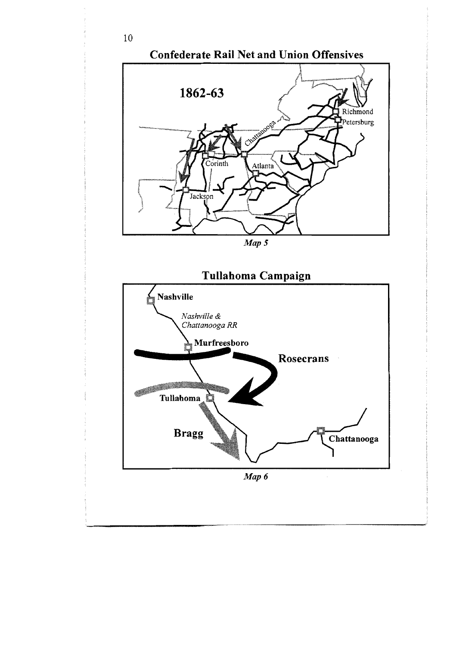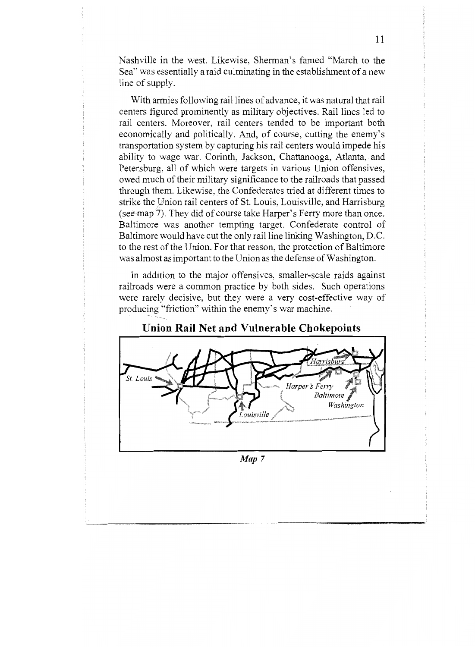Nashville in the west. Likewise, Sherman's famed "March to the Sea'" was essentially a raid culminating in the establishment of a new line of supply.

With armies following rail lines of advance, it was natural that rail centers figured prominently as military objectives. Rail lines led to rail centers. Moreover, rail centers tended to be important both economically and politically. And, of course, cutting the enemy's transportation system by capturing his rail centers would impede his ability to wage war. Corinth, Jackson, Chattanooga, Atlanta, and Petersburg, all of which were targets in various Union offensives, owed much of their military significance to the railroads that passed through them. Likewise, the Confederates tried at different times to strike the Union rail centers of St. Louis, Louisville, and Harrisburg (see map 7). They did of course take Harper's Ferry more than once. Baltimore was another tempting target. Confederate control of Baltimore would have cut the only rail line linking Washington, D.C. to the rest of the Union. For that reason, the protection of Baltimore was almost as important to the Union as the defense of Washington.

In addition to the major offensives, smaller-scale raids against railroads were a common practice by both sides. Such operations were rarely decisive, but they were a very cost-effective way of producing "friction" within the enemy's war machine.



Map 7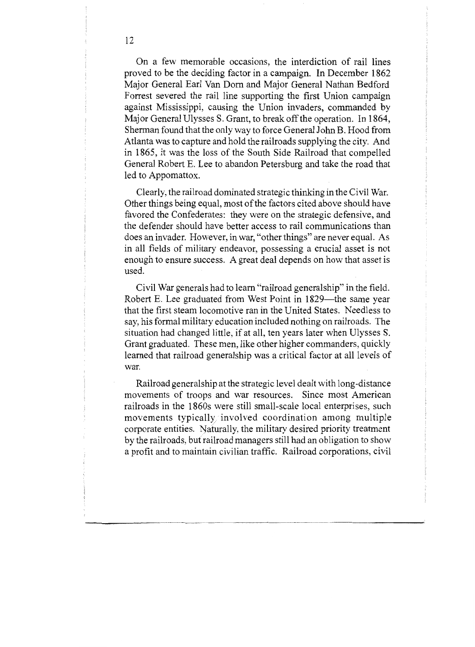On a few memorable occasions, the interdiction of rail lines proved to be the deciding factor in a campaign. In December 1862 Major General Earl Van Dorn and Major General Nathan Bedford Forrest severed the rail line supporting the first Union campaign against Mississippi, causing the Union invaders, commanded by Major General Ulysses S, Grant, to break off the operation. In 1864, Sherman found that the only way to force General John B. Hood from Atlanta was to capture and hold the railroads supplying the city. And in 1865, it was the loss of the South Side Railroad that compelled General Robert E. Lee to abandon Petersburg and take the road that led to Appomattox.

Clearly, the railroad dominated strategic thinking in the Civil War. Other things being equal, most of the factors cited above should have favored the Confederates: they were on the strategic defensive, and the defender should have better access to raiI communications than does an invader. However, in war, "other things" are never equal. As in all fields of military endeavor, possessing a crucial asset is not enough to ensure success, A great deal depends on how that asset is used.

Civil War generals had to learn "railroad generalship" in the field. Robert E. Lee graduated from West Point in 1829—the same year that the first steam locomotive ran in the United States. Needless to say, his formal military education included nothing on railroads. The situation had changed little, if at all, ten years later when Ulysses S. Grant graduated. These men, like other higher commanders, quickly learned that railroad generalship was a critical factor at all levels of war.

Railroad generalship at the strategic level dealt with long-distance movements of troops and war resources. Since most American railroads in the 1860s were still small-scale local enterprises, such movements typically, involved coordination among multiple corporate entities. Naturally, the military desired priority treatment by the railroads, but railroad managers still had an obligation to show a profit and to maintain civilian traffic. Railroad corporations, civil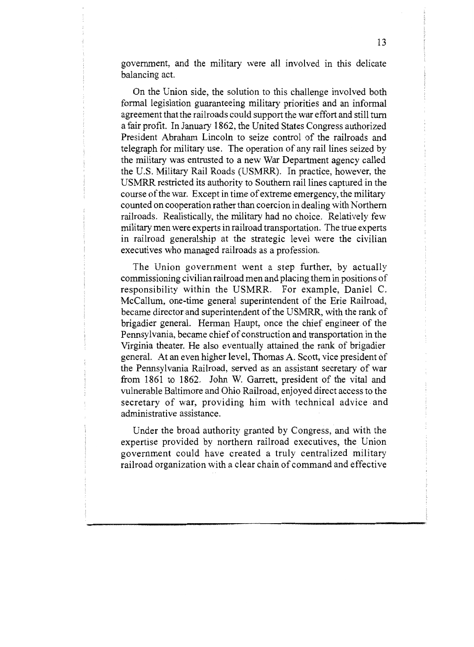government, and the military were all involved in this delicate balancing act.

On the Union side, the solution to this challenge involved both formal legislation guaranteeing military priorities and an informal agreement that the railroads could support the war effort and still turn a fair profit. In January 1862, the United States Congress authorized President Abraham Lincoln to seize control of the railroads and telegraph for military use. The operation of any rail lines seized by the military was entrusted to a new War Department agency called the U.S. Military Rail Roads (USMRR). In practice, however, the USMRR restricted its authority to Southern rail Iines captured in the caurse of the war. Except in time of extreme emergency, the military counted on cooperation rather than coercion in dealing with Northern railroads. Realistically, the military had no choice. Relatively few military men were experts in railroad transportation. The true experts in railroad generalship at the strategic level were the civilian executives who managed railroads as a profession.

The Union government went a step further, by actually commissioning civilian railroad men and placing them in positions of responsibility within the USMRR. For example, Daniel C. McCallum, one-time general superintendent of the Erie Railroad, became director and superintendent of the USMRR, with the rank of brigadier general. Herman Haupt, once the chief engineer. of the Pennsylvania, became chief of construction and transportation in the Virginia theater. He also eventually attained the rank of brigadier general. At an even higher level, Thomas A. Scott, vice president of the Pennsylvania Railroad, served as an assistant secretary of war from 1861 to 1862. John W. Garrett, president of the vital and vulnerable Baltimore and Ohio Railroad, enjoyed direct access to the secretary of war, providing him with technical advice and administrative assistance.

Under the broad authority granted by Congress, and with the expertise provided by northern railroad executives, the Union government could have created a truly centralized military railroad organization with a clear chain of command and effective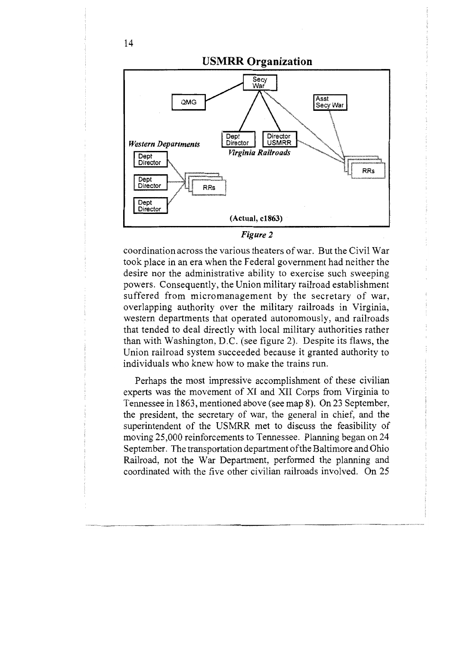

Figure 2

coordination across the various theaters of war. But the Civil War took place in an era when the Federal government had neither the desire nor the administrative ability to exercise such sweeping powers. Consequently, the Union military railroad establishment suffered from micromanagement by the secretary of war, overlapping authority over the military railroads in Virginia, western departments that operated autonomously, and railroads that tended to deal directly with local military authorities rather than with Washington, D.C. (see figure 2). Despite its flaws, the Union railroad system succeeded because it granted authority to individuals who knew how to make the trains run.

Perhaps the most impressive accomplishment of these civilian experts was the movement of XI and XII Corps from Virginia to Tennessee in 1863, mentioned above (see map 8). On 23 September, the president, the secretary of war, the general in chief, and the superintendent of the USMRR met to discuss the feasibility of moving 25,000 reinforcements to Tennessee. Planning began on 24 September. The transportation department of the Baltimore and Ohio Railroad, not the War Department, performed the planning and coordinated with the five other civilian railroads involved. On 25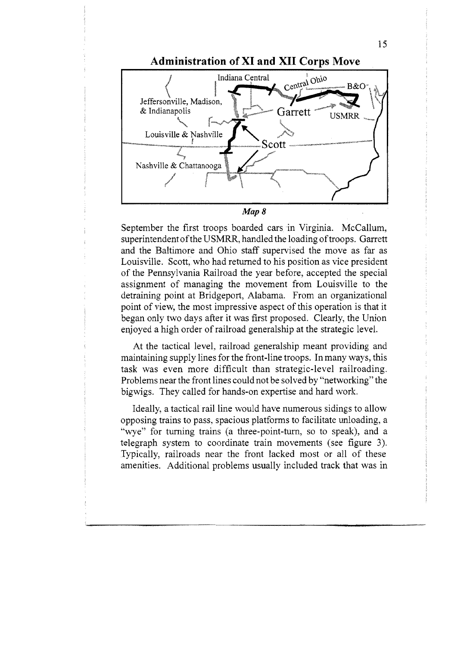

September the first troops boarded cars in Virginia. McCallum, superintendent of the USMRR, handled the loading of troops. Garrett and the Baltimore and Ohio staff supervised the move as far as Louisville. Scott, who had returned to his position as vice president of the Pennsylvania Railroad the year before, accepted the special assignment of managing the movement from Louisville to the detraining point at Bridgeport, Alabama. From an organizational point of view, the most impressive aspect of this operation is that it began only two days after it was first proposed. Clearly, the Union enjoyed a high order of railroad generalship at the strategic level.

At the tactical level, railroad generalship meant providing and maintaining supply lines for the front-line troops. In many ways, this task was even more difficult than strategic-level railroading. Problems near the front lines could not be solved by "'networking" the bigwigs. They called for hands-on expertise and hard work.

Ideally, a tactical rail line would have numerous sidings to allow opposing trains to pass, spacious platforms to facilitate unloading, a "wye" for turning trains (a three-point-turn, so to speak), and a telegraph system to coordinate train movements (see figure 3). Typically, railroads near the front lacked most or all of these amenities. Additional problems usually included track that was in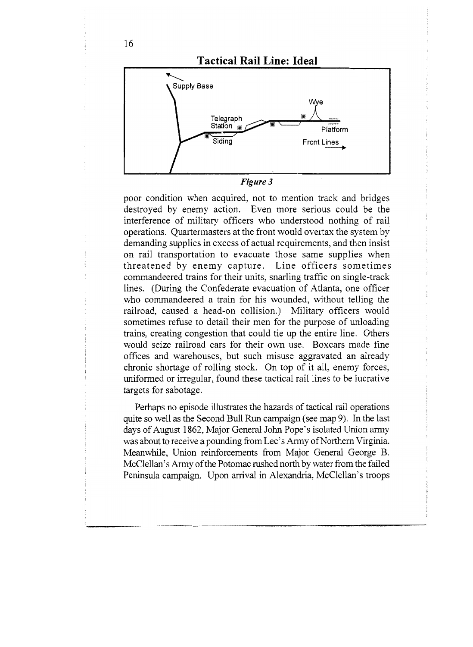

poor condition when acquired, not to mention track and bridges destroyed by enemy action. Even more serious could be the interference of military officers who understood nothing of rail operations. Quartermasters at the front would overtax the system by demanding supplies in excess of actual requirements, and then insist on rail transportation to evacuate those same supplies when threatened by enemy capture. Line officers sometimes commandeered trains for their units, snarling traffic on single-track lines. (During the Confederate evacuation of Atlanta, one officer who commandeered a train for his wounded, without telling the railroad, caused a head-on collision.) Military officers would sometimes refuse to detail their men for the purpose of unloading trains, creating congestion that could tie up the entire line. Others would seize railroad cars for their own use. Boxcars made fine offices and warehouses, but such misuse aggravated an already chronic shortage of rolling stock. On top of it all, enemy forces, uniformed or irregular, found these tactical rail lines to be lucrative targets for sabotage.

Perhaps no episode illustrates the hazards of tactical rail operations quite so well as the Second Bull Run campaign (see map 9). In the last days of August 1862, Major General John Pope's isolated Union army was about to receive a pounding from Lee's Army of Northern Virginia. Meanwhile, Union reinforcements from Major General George B. McClellan's Army of the Potomac rushed north by water from the failed Peninsula campaign. Upon arrival in Alexandria, McClellan's troops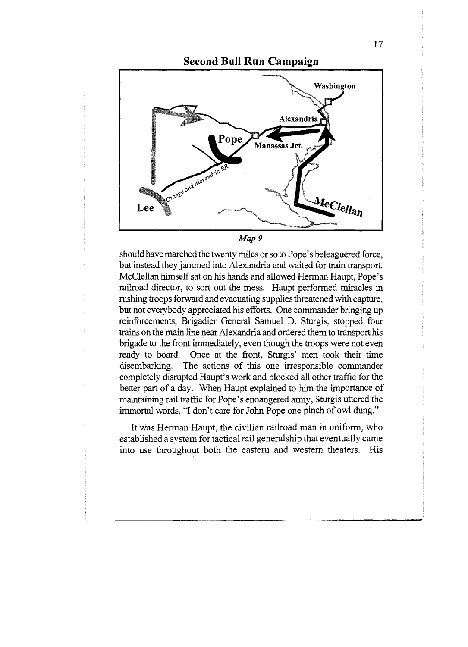

should have marched the twenty miles or so to Pope's beleaguered force, but instead they jammed into Alexandria and waited for train transport. McClellan himself sat on his hands and allowed Herman Haupt, Pope"s railroad director, to sort out the mess. Haupt performed miracles in rushing troops forward and evacuating supplies threatened with capture, but not everybody appreciated his efforts. One commander bringing up reinforcements, Brigadier General Samuel D. Sturgis, stopped four trains on the main line near Alexandria and ordered them to transport his brigade to the front immediately, even though the troops were not even ready to board. Once at the front, Sturgis' men took their time disembarking. The actions of this one irresponsible commander completely disrupted Haupt"s work and blocked all other traffic for the better part of a day. When Haupt explained to him the importance of maintaining rail traffic for Pope's endangered army, Sturgis uttered the immortal words, "I don't care for John Pope one pinch of owl dung."

It was Herman Haupt, the civilian railroad man in uniform, who established a system for tactical rail generalship that eventually came into use throughout both the eastern and western theaters. His

17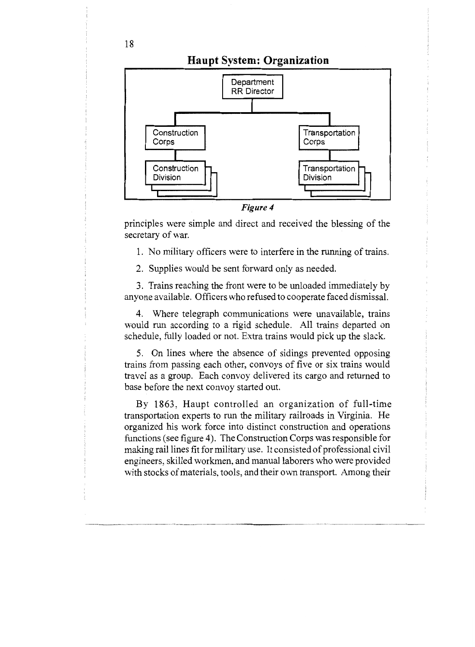### Haupt System: Organization



principles were simple and direct and received the blessing of the secretary of war.

1. No military officers were to interfere in the running of trains.

2. Supplies would be sent forward only as needed.

3. Trains reaching the front were to be unloaded immediately by anyone available. Officers who refused to cooperate faced dismissal.

4. Where telegraph communications were unavailable, trains would run according to a rigid schedule. All trains departed on schedule, fully loaded or not. Extra trains would pick up the slack.

5. On lines where the absence of sidings prevented opposing trains from passing each other, convoys of five or six trains would travel as a group. Each convoy delivered its cargo and returned to base before the next convoy started out.

By 1863, Haupt controlled an organization of full-time transportation experts to run the military railroads in Virginia. He organized his work force into distinct construction and operations functions (see figure 4). The Construction Corps was responsible for making rail lines fit for military use. It consisted of professional civil engineers, skilled workmen, and manual laborers who were provided with stocks of materials, tools, and their own transport. Among their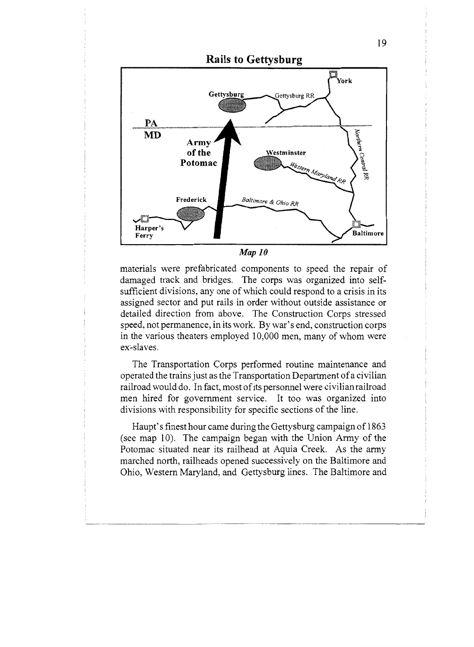

materials were prefabricated components to speed the repair of damaged track and bridges. The corps was organized into selfsufficient divisions, any one of which could respond to a crisis in its assigned sector and put rails in order without outside assistance or detailed direction from above. The Construction Corps stressed speed, not permanence, in its work. By war's end, construction corps in the various theaters employed 10,000 men, many of whom were ex-slaves.

The Transportation Corps performed routine maintenance and operated the trains just as the Transportation Department of a civilian railroad would do. In fact, most of its personnel were civilian railroad men hired for government service. It too was organized into divisions with responsibility for specific sections of the line.

Haupt's finest hour came during the Gettysburg campaign of 1863 (see map 10). The campaign began with the Union Army of the Potomac situated near its railhead at Aquia Creek. As the army marched north, railheads opened successively on the Baltimore and Ohio, Western Maryland, and Gettysburg lines. The Baltimore and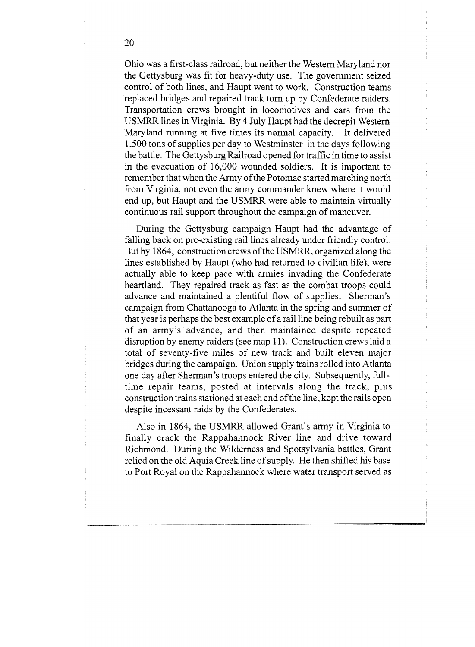Ohio was a first-class railroad, but neither the Western Maryland nor the Gettysburg was fit for heavy-duty use. The government seized control of both lines, and Haupt went to work. Construction teams replaced bridges and repaired track torn up by Confederate raiders, Transportation crews brought in Iocomotives and cars from the USMRR lines in Virginia. By 4 July Haupt had the decrepit Western Maryland running at five times its normal capacity. It delivered 1,500 tons of supplies per day to Westminster in the days following the battle. The Gettysburg Railroad opened for traffic in time to assist in the evacuation of 16,000 wounded soldiers. It is important to remember that when the Army of the Potomac started marching north from Virginia, not even the army commander knew where it would end up, but Haupt and the USMRR were able to maintain virtually continuous rail support throughout the campaign of maneuver.

During the Gettysburg campaign Haupt had the advantage of falling back on pre-existing rail lines already under friendly control. But by 1864, construction crews of the USMRR, organized along the lines established by Haupt (who had returned to civilian life), were actually able to keep pace with armies invading the Confederate heartland. They repaired track as fast as the combat troops could advance and maintained a plentiful flow of supplies. Sherman's campaign from Chattanooga to Atlanta in the spring and summer of that year is perhaps the best example of a rail line being rebuilt as part of an army's advance, and then maintained despite repeated disruption by enemy raiders (see map 11). Construction crews laid a total of seventy-five miles of new track and built eleven major bridges during the campaign. Union supply trains rolled into Atlanta one day after Sherman's troops entered the city. Subsequently, fulltime repair teams, posted at intervals along the track, plus construction trains stationed at each end ofthe line, kept the rails open despite incessant raids by the Confederates.

Also in 1864, the USMRR allowed Grant's army in Virginia to finally crack the Rappahannock River line and drive toward Richmond. During the Wilderness and Spotsylvania battles, Grant relied on the old Aquia Creek line of supply. He then shifted his base to Port Royal on the Rappahannock where water transport served as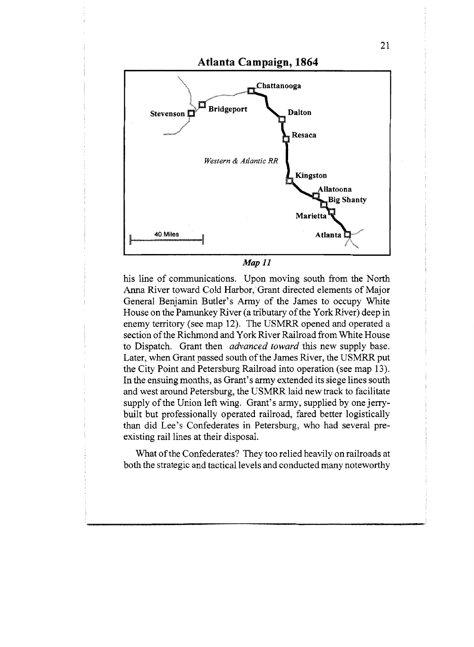

 $Map 11$ 

his line of communications. Upon moving south from the North Anna River toward Cold Harbor, Grant directed elements of Major General Benjamin Butler's Army of the James to occupy White House on the Parnunkey River (a tributary of the York River) deep in enemy territory (see map 12). The USMRR opened and operated a section of the Richmond and York River Railroad from White House to Dispatch. Grant then *advanced toward* this new supply base. Later, when Grant passed south of the James River, the USMRR put the City Point and Petersburg Railroad into operation (see map 13). In the ensuing months, as Grant's army extended its siege lines south and west around Petersburg, the USMRR laid new track to facilitate supply of the Union left wing. Grant's army, supplied by one jerrybuilt but professionally operated railroad, fared better logistically than did Lee's Confederates in Petersburg, who had several preexisting rail lines at their disposal.

What of the Confederates? They too relied heavily on railroads at both the strategic and tactical levels and conducted many noteworthy

21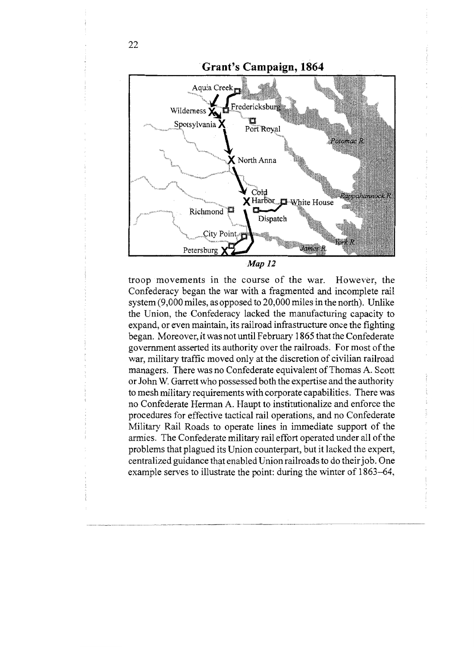

troop movements in the course of the war. However, the Confederacy began the war with a fragmented and incomplete rail system (9,000 miles, as opposed to 20,000 miles in the north). Unlike the Union, the Confederacy lacked the manufacturing capacity to expand, or even maintain, its railroad infrastructure once the fighting began. Moreover, it was not until February 1865 that the Confederate government asserted its authority over the railroads. For most of the war, military traffic moved only at the discretion of civilian railroad managers. There was no Confederate equivalent of Thomas A. Scott or John W. Garrett who possessed both the expertise and the authority to mesh military requirements with corporate capabilities. There was no Confederate Herman A. Haupt to institutionalize and enforce the procedures for effective tactical raiI operations, and no Confederate Military Rail Roads to operate lines in immediate support of the armies. The Confederate military rail effort operated under all of the problems that plagued its Union counterpart, but it lacked the expert, centralized guidance that enabled Union railroads to do their job. One example serves to illustrate the point: during the winter of 1863-64,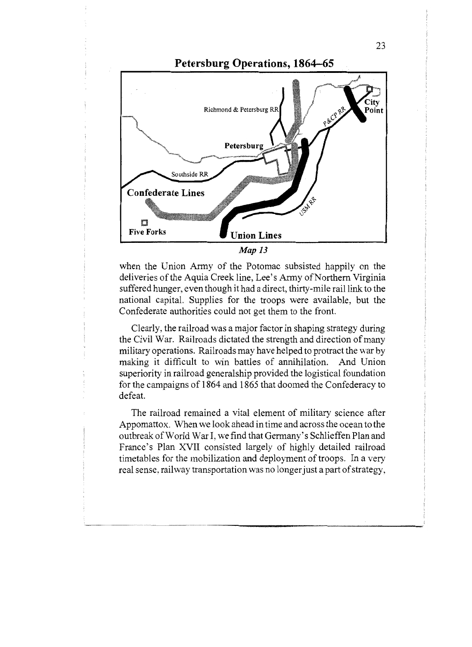

when the Union Army of the Potomac subsisted happily on the deliveries of the Aquia Creek line, Lee's Army of Northern Virginia suffered hunger, even though it had a direct, thirty-mile rail link to the national capital. Supplies for the troops were available, but the Confederate authorities could not get them to the front.

Clearly, the railroad was a major factor in shaping strategy during the Civil War. Railroads dictated the strength and direction of many military operations. Railroads may have helped to protract the war by making it difficult to win battles of annihilation. And Union superiority in railroad generalship provided the logistical foundation for the campaigns of 1864 and 1865 that doomed the Confederacy to defeat.

The railroad remained a vital element of military science after Appomattox. When we look ahead in time and across the ocean to the outbreak of World War I, we find that Germany's Schlieffen Plan and France's Plan XVII consisted largely of highly detailed railroad timetables for the mobilization and deployment of troops. In a very real sense, railway transportation was no longer just a part of strategy,

23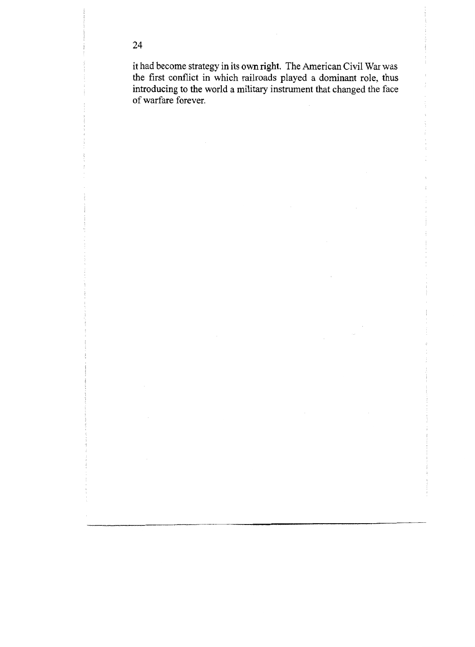it had become strategy in its own right. The American Civil War was the first conflict in which railroads played a dominant role, thus introducing to the world a military instrument that changed the face of warfare forever.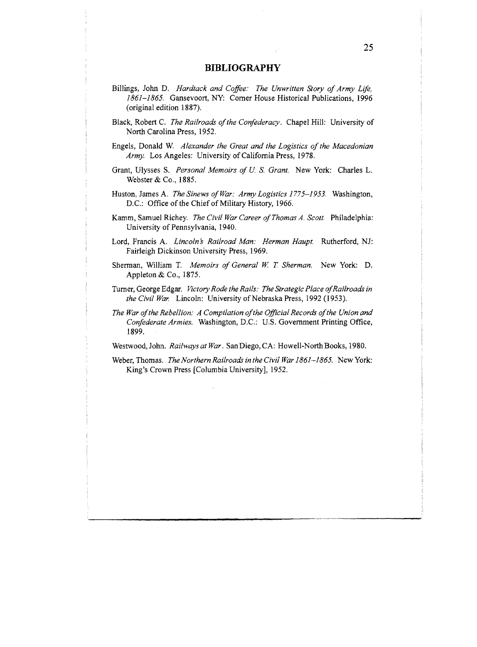#### BIBLIOGRAPHY

- Billings, John D. Hardtack and Coffee: The Unwritten Story of Army Life, 1861-1865. Gansevoort, NY: Corner House Historical Publications, 1996 (original edition 1887).
- Black, Robert C. The Railroads of the Confederacy. Chapel Hill: University of North Carolina Press, 1952.
- Engels, Donald W. Alexander the Great and the Logistics of the Macedonian Army. Los Angeles: University of California Press, 1978.
- Grant, Ulysses S. Personal Memoirs of U.S. Grant. New York: Charles L. Webster & Co., 1885.
- Huston, James A. The Sinews of War: Army Logistics 1775-1953. Washington, DC: Office of the Chief of Military History, 1966.
- Kamm, Samuel Richey. The Civil War Career of Thomas A. Scott. Philadelphia: University of Pennsylvania, 1940.
- Lord, Francis A. Lincoln's Railroad Man: Herman Haupt. Rutherford, NJ: Fairleigh Dickinson University Press, 1969.
- Sherman, William T. Memoirs of General W. T. Sherman. New York: D. Appleton & Co., 1875.
- Turner, George Edgar. Victory Rode the Rails: The Strategic Place of Railroads in the Civil War. Lincoln: University of Nebraska Press, 1992 (1953).
- The War of the Rebellion: A Compilation of the Official Records of the Union and Confederate Armies. Washington, DC: U.S. Government Printing Offrce, 1899.

Westwood, John. Railways at War. San Diego, CA: Howell-North Books, 1980.

Weber, Thomas. The Northern Railroads in the Civil War 1861–1865. New York: King's Crown Press [Columbia University], 1952.

c